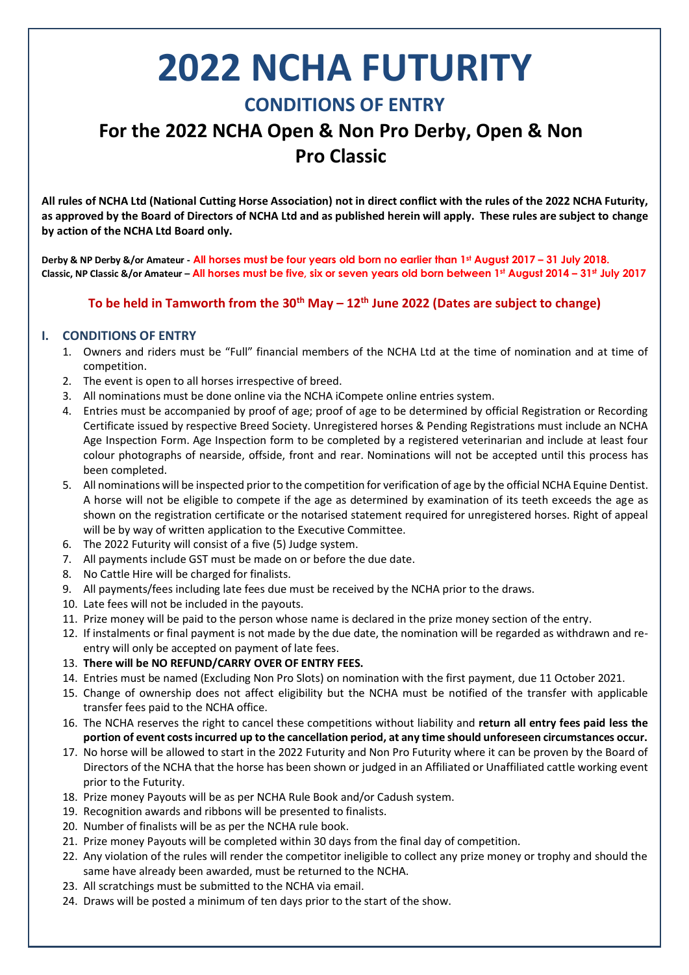# **2022 NCHA FUTURITY**

### **CONDITIONS OF ENTRY**

## **For the 2022 NCHA Open & Non Pro Derby, Open & Non Pro Classic**

**All rules of NCHA Ltd (National Cutting Horse Association) not in direct conflict with the rules of the 2022 NCHA Futurity, as approved by the Board of Directors of NCHA Ltd and as published herein will apply. These rules are subject to change by action of the NCHA Ltd Board only.**

**Derby & NP Derby &/or Amateur - All horses must be four years old born no earlier than 1st August 2017 – 31 July 2018. Classic, NP Classic &/or Amateur – All horses must be five, six or seven years old born between 1st August 2014 – 31st July 2017**

#### **To be held in Tamworth from the 30th May – 12 th June 2022 (Dates are subject to change)**

#### **I. CONDITIONS OF ENTRY**

- 1. Owners and riders must be "Full" financial members of the NCHA Ltd at the time of nomination and at time of competition.
- 2. The event is open to all horses irrespective of breed.
- 3. All nominations must be done online via the NCHA iCompete online entries system.
- 4. Entries must be accompanied by proof of age; proof of age to be determined by official Registration or Recording Certificate issued by respective Breed Society. Unregistered horses & Pending Registrations must include an NCHA Age Inspection Form. Age Inspection form to be completed by a registered veterinarian and include at least four colour photographs of nearside, offside, front and rear. Nominations will not be accepted until this process has been completed.
- 5. All nominations will be inspected prior to the competition for verification of age by the official NCHA Equine Dentist. A horse will not be eligible to compete if the age as determined by examination of its teeth exceeds the age as shown on the registration certificate or the notarised statement required for unregistered horses. Right of appeal will be by way of written application to the Executive Committee.
- 6. The 2022 Futurity will consist of a five (5) Judge system.
- 7. All payments include GST must be made on or before the due date.
- 8. No Cattle Hire will be charged for finalists.
- 9. All payments/fees including late fees due must be received by the NCHA prior to the draws.
- 10. Late fees will not be included in the payouts.
- 11. Prize money will be paid to the person whose name is declared in the prize money section of the entry.
- 12. If instalments or final payment is not made by the due date, the nomination will be regarded as withdrawn and reentry will only be accepted on payment of late fees.
- 13. **There will be NO REFUND/CARRY OVER OF ENTRY FEES.**
- 14. Entries must be named (Excluding Non Pro Slots) on nomination with the first payment, due 11 October 2021.
- 15. Change of ownership does not affect eligibility but the NCHA must be notified of the transfer with applicable transfer fees paid to the NCHA office.
- 16. The NCHA reserves the right to cancel these competitions without liability and **return all entry fees paid less the portion of event costs incurred up to the cancellation period, at any time should unforeseen circumstances occur.**
- 17. No horse will be allowed to start in the 2022 Futurity and Non Pro Futurity where it can be proven by the Board of Directors of the NCHA that the horse has been shown or judged in an Affiliated or Unaffiliated cattle working event prior to the Futurity.
- 18. Prize money Payouts will be as per NCHA Rule Book and/or Cadush system.
- 19. Recognition awards and ribbons will be presented to finalists.
- 20. Number of finalists will be as per the NCHA rule book.
- 21. Prize money Payouts will be completed within 30 days from the final day of competition.
- 22. Any violation of the rules will render the competitor ineligible to collect any prize money or trophy and should the same have already been awarded, must be returned to the NCHA.
- 23. All scratchings must be submitted to the NCHA via email.
- 24. Draws will be posted a minimum of ten days prior to the start of the show.